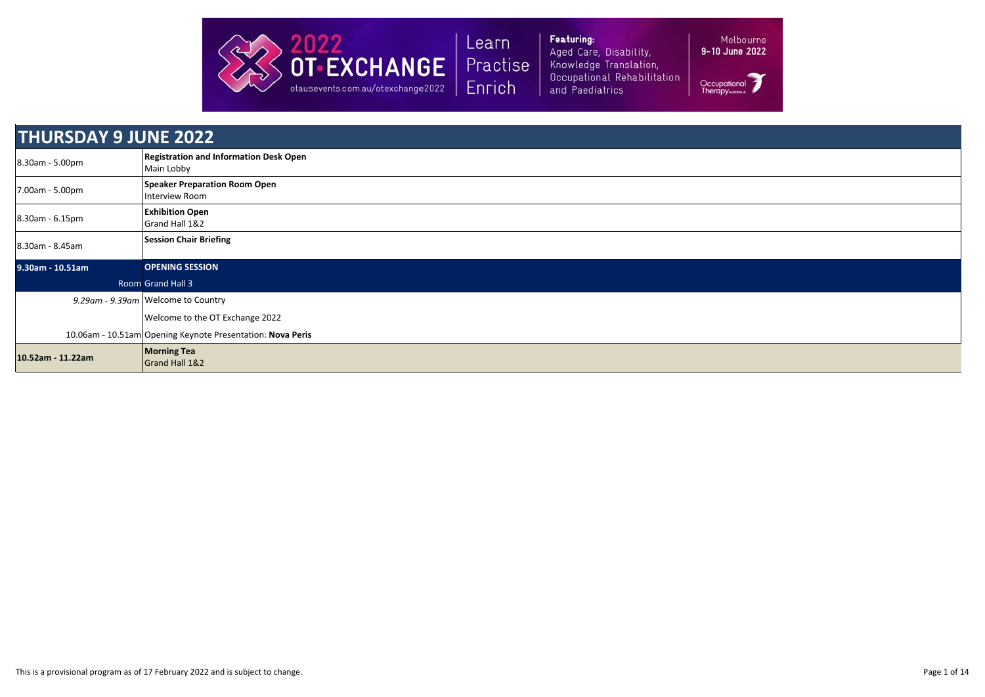

Featuring: Aged Care, Disability, Knowledge Translation, Occupational Rehabilitation and Paediatrics

| <b>THURSDAY 9 JUNE 2022</b> |                                                             |
|-----------------------------|-------------------------------------------------------------|
| 8.30am - 5.00pm             | <b>Registration and Information Desk Open</b><br>Main Lobby |
| 7.00am - 5.00pm             | <b>Speaker Preparation Room Open</b><br>Interview Room      |
| 8.30am - 6.15pm             | <b>Exhibition Open</b><br>Grand Hall 1&2                    |
| 8.30am - 8.45am             | <b>Session Chair Briefing</b>                               |
| 9.30am - 10.51am            | <b>OPENING SESSION</b>                                      |
|                             | <b>Room Grand Hall 3</b>                                    |
|                             | 9.29am - 9.39am Welcome to Country                          |
|                             | Welcome to the OT Exchange 2022                             |
|                             | 10.06am - 10.51am Opening Keynote Presentation: Nova Peris  |
| 10.52am - 11.22am           | <b>Morning Tea</b><br>Grand Hall 1&2                        |

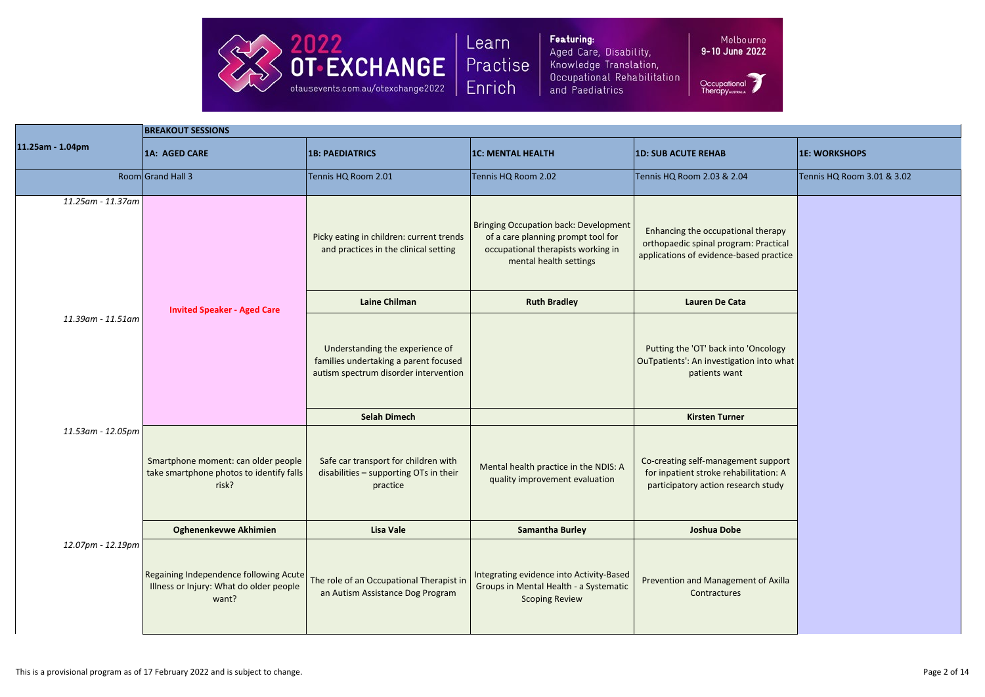

Featuring: Aged Care, Disability, Knowledge Translation, Occupational Rehabilitation and Paediatrics

Melbourne 9-10 June 2022

|                   | <b>BREAKOUT SESSIONS</b>                                                                   |                                                                                                                   |                                                                                                                                                    |                                                                                                                        |                            |  |
|-------------------|--------------------------------------------------------------------------------------------|-------------------------------------------------------------------------------------------------------------------|----------------------------------------------------------------------------------------------------------------------------------------------------|------------------------------------------------------------------------------------------------------------------------|----------------------------|--|
| 11.25am - 1.04pm  | 1A: AGED CARE                                                                              | <b>1B: PAEDIATRICS</b>                                                                                            | <b>1C: MENTAL HEALTH</b>                                                                                                                           | <b>1D: SUB ACUTE REHAB</b>                                                                                             | <b>1E: WORKSHOPS</b>       |  |
|                   | Room Grand Hall 3                                                                          | Tennis HQ Room 2.01                                                                                               | Tennis HQ Room 2.02                                                                                                                                | Tennis HQ Room 2.03 & 2.04                                                                                             | Tennis HQ Room 3.01 & 3.02 |  |
| 11.25am - 11.37am |                                                                                            | Picky eating in children: current trends<br>and practices in the clinical setting                                 | <b>Bringing Occupation back: Development</b><br>of a care planning prompt tool for<br>occupational therapists working in<br>mental health settings | Enhancing the occupational therapy<br>orthopaedic spinal program: Practical<br>applications of evidence-based practice |                            |  |
|                   | <b>Invited Speaker - Aged Care</b>                                                         | <b>Laine Chilman</b>                                                                                              | <b>Ruth Bradley</b>                                                                                                                                | Lauren De Cata                                                                                                         |                            |  |
| 11.39am - 11.51am |                                                                                            | Understanding the experience of<br>families undertaking a parent focused<br>autism spectrum disorder intervention |                                                                                                                                                    | Putting the 'OT' back into 'Oncology<br>OuTpatients': An investigation into what<br>patients want                      |                            |  |
|                   |                                                                                            | <b>Selah Dimech</b>                                                                                               |                                                                                                                                                    | <b>Kirsten Turner</b>                                                                                                  |                            |  |
| 11.53am - 12.05pm | Smartphone moment: can older people<br>take smartphone photos to identify falls<br>risk?   | Safe car transport for children with<br>disabilities - supporting OTs in their<br>practice                        | Mental health practice in the NDIS: A<br>quality improvement evaluation                                                                            | Co-creating self-management support<br>for inpatient stroke rehabilitation: A<br>participatory action research study   |                            |  |
|                   | <b>Oghenenkevwe Akhimien</b>                                                               | <b>Lisa Vale</b>                                                                                                  | <b>Samantha Burley</b>                                                                                                                             | <b>Joshua Dobe</b>                                                                                                     |                            |  |
| 12.07pm - 12.19pm | Regaining Independence following Acute<br>Illness or Injury: What do older people<br>want? | The role of an Occupational Therapist in<br>an Autism Assistance Dog Program                                      | Integrating evidence into Activity-Based<br>Groups in Mental Health - a Systematic<br><b>Scoping Review</b>                                        | Prevention and Management of Axilla<br>Contractures                                                                    |                            |  |



|                                              | <b>1E: WORKSHOPS</b>       |
|----------------------------------------------|----------------------------|
| $\overline{4}$                               | Tennis HQ Room 3.01 & 3.02 |
| nal therapy<br>m: Practical<br>ased practice |                            |
| a                                            |                            |
| <b>'Oncology</b><br>ion into what            |                            |
| r                                            |                            |
| ent support<br>pilitation: A<br>arch study   |                            |
|                                              |                            |
| ent of Axilla                                |                            |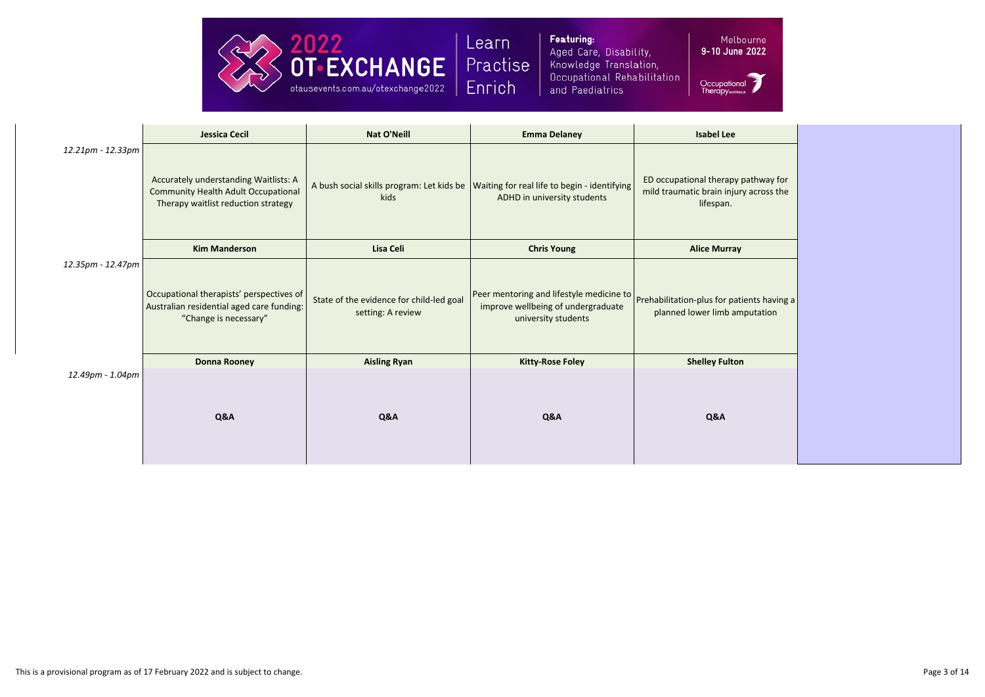

Featuring: Aged Care, Disability, Knowledge Translation, Occupational Rehabilitation and Paediatrics

Melbourne

|                   | <b>Jessica Cecil</b>                                                                                                       | <b>Nat O'Neill</b>                                            | <b>Emma Delaney</b>                                                                                   | <b>Isabel Lee</b>                                                                          |
|-------------------|----------------------------------------------------------------------------------------------------------------------------|---------------------------------------------------------------|-------------------------------------------------------------------------------------------------------|--------------------------------------------------------------------------------------------|
| 12.21pm - 12.33pm | Accurately understanding Waitlists: A<br><b>Community Health Adult Occupational</b><br>Therapy waitlist reduction strategy | A bush social skills program: Let kids be<br>kids             | Waiting for real life to begin - identifying<br>ADHD in university students                           | ED occupational therapy pathway for<br>mild traumatic brain injury across the<br>lifespan. |
|                   | <b>Kim Manderson</b>                                                                                                       | <b>Lisa Celi</b>                                              | <b>Chris Young</b>                                                                                    | <b>Alice Murray</b>                                                                        |
| 12.35pm - 12.47pm | Occupational therapists' perspectives of<br>Australian residential aged care funding:<br>"Change is necessary"             | State of the evidence for child-led goal<br>setting: A review | Peer mentoring and lifestyle medicine to<br>improve wellbeing of undergraduate<br>university students | Prehabilitation-plus for patients having a<br>planned lower limb amputation                |
|                   | <b>Donna Rooney</b>                                                                                                        | <b>Aisling Ryan</b>                                           | <b>Kitty-Rose Foley</b>                                                                               | <b>Shelley Fulton</b>                                                                      |
| 12.49pm - 1.04pm  | Q&A                                                                                                                        | Q&A                                                           | Q&A                                                                                                   | Q&A                                                                                        |



| pathway for<br>y across the |  |
|-----------------------------|--|
|                             |  |
| ents having a<br>putation   |  |
|                             |  |
|                             |  |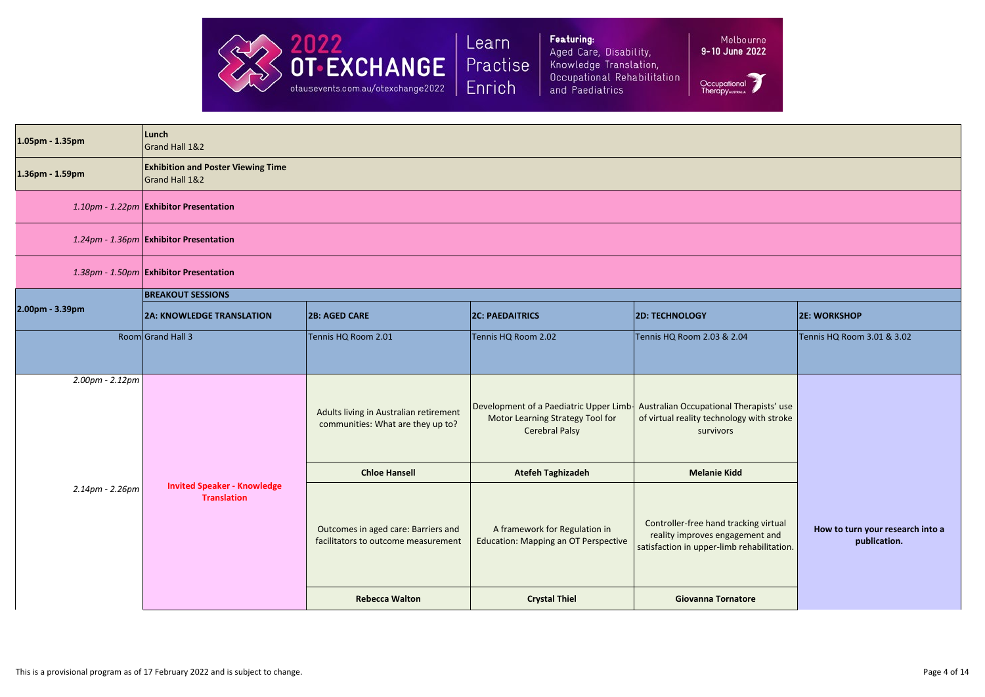

Featuring: Aged Care, Disability, Knowledge Translation, Occupational Rehabilitation and Paediatrics

Melb 9-10 June

Occupationa<br>Therapywanuu

| 1.05pm - 1.35pm | Lunch<br>Grand Hall 1&2                                     |                                                                             |                                                                                                                                              |                                                                                                                        |                                          |
|-----------------|-------------------------------------------------------------|-----------------------------------------------------------------------------|----------------------------------------------------------------------------------------------------------------------------------------------|------------------------------------------------------------------------------------------------------------------------|------------------------------------------|
| 1.36pm - 1.59pm | <b>Exhibition and Poster Viewing Time</b><br>Grand Hall 1&2 |                                                                             |                                                                                                                                              |                                                                                                                        |                                          |
|                 | 1.10pm - 1.22pm Exhibitor Presentation                      |                                                                             |                                                                                                                                              |                                                                                                                        |                                          |
|                 | 1.24pm - 1.36pm Exhibitor Presentation                      |                                                                             |                                                                                                                                              |                                                                                                                        |                                          |
|                 | 1.38pm - 1.50pm Exhibitor Presentation                      |                                                                             |                                                                                                                                              |                                                                                                                        |                                          |
|                 | <b>BREAKOUT SESSIONS</b>                                    |                                                                             |                                                                                                                                              |                                                                                                                        |                                          |
| 2.00pm - 3.39pm | <b>2A: KNOWLEDGE TRANSLATION</b>                            | <b>2B: AGED CARE</b>                                                        | <b>2C: PAEDAITRICS</b>                                                                                                                       | <b>2D: TECHNOLOGY</b>                                                                                                  | <b>2E: WORKSHOP</b>                      |
|                 | Room Grand Hall 3                                           | Tennis HQ Room 2.01                                                         | Tennis HQ Room 2.02                                                                                                                          | Tennis HQ Room 2.03 & 2.04                                                                                             | Tennis HQ Room 3.01 & 3.02               |
| 2.00pm - 2.12pm |                                                             | Adults living in Australian retirement<br>communities: What are they up to? | Development of a Paediatric Upper Limb- Australian Occupational Therapists' use<br>Motor Learning Strategy Tool for<br><b>Cerebral Palsy</b> | of virtual reality technology with stroke<br>survivors                                                                 |                                          |
|                 | <b>Invited Speaker - Knowledge</b><br><b>Translation</b>    | <b>Chloe Hansell</b>                                                        | <b>Atefeh Taghizadeh</b>                                                                                                                     | <b>Melanie Kidd</b>                                                                                                    |                                          |
| 2.14pm - 2.26pm |                                                             | Outcomes in aged care: Barriers and<br>facilitators to outcome measurement  | A framework for Regulation in<br><b>Education: Mapping an OT Perspective</b>                                                                 | Controller-free hand tracking virtual<br>reality improves engagement and<br>satisfaction in upper-limb rehabilitation. | How to turn your researd<br>publication. |
|                 |                                                             | <b>Rebecca Walton</b>                                                       | <b>Crystal Thiel</b>                                                                                                                         | <b>Giovanna Tornatore</b>                                                                                              |                                          |
|                 |                                                             |                                                                             |                                                                                                                                              |                                                                                                                        |                                          |

| 3             |  |  |
|---------------|--|--|
| ourne<br>2022 |  |  |
|               |  |  |

|                                            | <b>2E: WORKSHOP</b>                              |
|--------------------------------------------|--------------------------------------------------|
| 4                                          | Tennis HQ Room 3.01 & 3.02                       |
| erapists' use<br>with stroke               |                                                  |
| king virtual<br>ment and<br>ehabilitation. | How to turn your research into a<br>publication. |
| ore                                        |                                                  |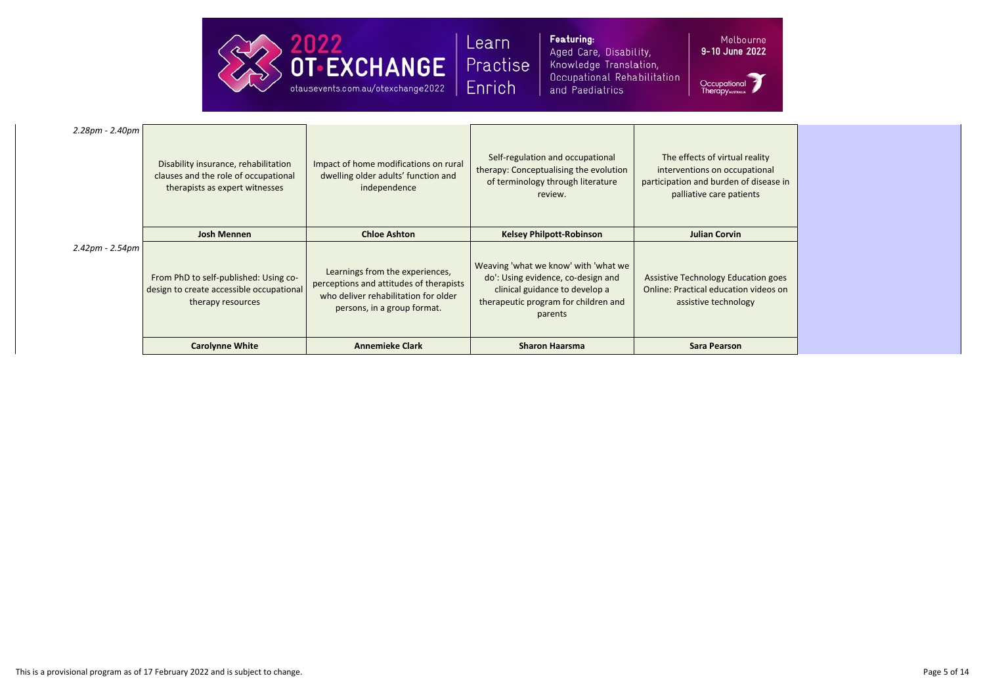

Featuring: Aged Care, Disa Knowledge Tran Occupational R and Paediatrics

| ability,      | 9-10 June 20 |
|---------------|--------------|
| nslation,     |              |
| ehabilitation |              |

Occupation<br>Therapywaw

Melb

| 2.28pm - 2.40pm                                               | Disability insurance, rehabilitation<br>clauses and the role of occupational<br>therapists as expert witnesses | Impact of home modifications on rural<br>dwelling older adults' function and<br>independence      | Self-regulation and occupational<br>therapy: Conceptualising the evolution<br>of terminology through literature<br>review. | The effects of virtual reality<br>interventions on occupational<br>participation and burden of disease in<br>palliative care patients |
|---------------------------------------------------------------|----------------------------------------------------------------------------------------------------------------|---------------------------------------------------------------------------------------------------|----------------------------------------------------------------------------------------------------------------------------|---------------------------------------------------------------------------------------------------------------------------------------|
| $2.42 \text{pm} - 2.54 \text{pm}$                             | <b>Josh Mennen</b><br>From PhD to self-published: Using co-                                                    | <b>Chloe Ashton</b><br>Learnings from the experiences,<br>perceptions and attitudes of therapists | <b>Kelsey Philpott-Robinson</b><br>Weaving 'what we know' with 'what we<br>do': Using evidence, co-design and              | <b>Julian Corvin</b><br><b>Assistive Technology Education goes</b>                                                                    |
| design to create accessible occupational<br>therapy resources |                                                                                                                | who deliver rehabilitation for older<br>persons, in a group format.                               | clinical guidance to develop a<br>therapeutic program for children and<br>parents                                          | <b>Online: Practical education videos on</b><br>assistive technology                                                                  |
|                                                               | <b>Carolynne White</b>                                                                                         | <b>Annemieke Clark</b>                                                                            | <b>Sharon Haarsma</b>                                                                                                      | <b>Sara Pearson</b>                                                                                                                   |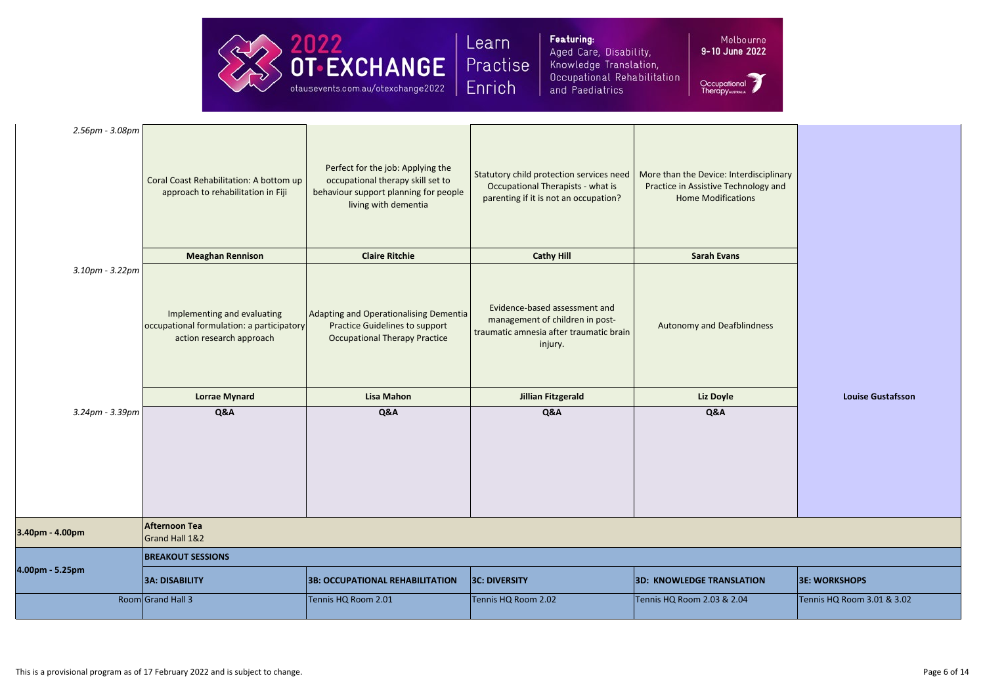

Featuring: Aged Care, Disability, Knowledge Translation, Occupational Rehabilitation and Paediatrics

Melbo 9-10 June

Occupationa<br>Therapywanuu

| 2.56pm - 3.08pm | Coral Coast Rehabilitation: A bottom up<br>approach to rehabilitation in Fiji                        | Perfect for the job: Applying the<br>occupational therapy skill set to<br>behaviour support planning for people<br>living with dementia | Statutory child protection services need<br>Occupational Therapists - what is<br>parenting if it is not an occupation? | More than the Device: Interdisciplinary<br>Practice in Assistive Technology and<br><b>Home Modifications</b> |                            |  |
|-----------------|------------------------------------------------------------------------------------------------------|-----------------------------------------------------------------------------------------------------------------------------------------|------------------------------------------------------------------------------------------------------------------------|--------------------------------------------------------------------------------------------------------------|----------------------------|--|
|                 | <b>Meaghan Rennison</b>                                                                              | <b>Claire Ritchie</b>                                                                                                                   | <b>Cathy Hill</b>                                                                                                      | <b>Sarah Evans</b>                                                                                           |                            |  |
| 3.10pm - 3.22pm | Implementing and evaluating<br>occupational formulation: a participatory<br>action research approach | Adapting and Operationalising Dementia<br><b>Practice Guidelines to support</b><br><b>Occupational Therapy Practice</b>                 | Evidence-based assessment and<br>management of children in post-<br>traumatic amnesia after traumatic brain<br>injury. | <b>Autonomy and Deafblindness</b>                                                                            |                            |  |
|                 | <b>Lorrae Mynard</b>                                                                                 | <b>Lisa Mahon</b>                                                                                                                       | <b>Jillian Fitzgerald</b>                                                                                              | Liz Doyle                                                                                                    | <b>Louise Gustafsson</b>   |  |
| 3.24pm - 3.39pm | Q&A                                                                                                  | Q&A                                                                                                                                     | Q&A                                                                                                                    | Q&A                                                                                                          |                            |  |
|                 |                                                                                                      |                                                                                                                                         |                                                                                                                        |                                                                                                              |                            |  |
| 3.40pm - 4.00pm | <b>Afternoon Tea</b><br>Grand Hall 1&2                                                               |                                                                                                                                         |                                                                                                                        |                                                                                                              |                            |  |
|                 | <b>BREAKOUT SESSIONS</b>                                                                             |                                                                                                                                         |                                                                                                                        |                                                                                                              |                            |  |
| 4.00pm - 5.25pm | <b>3A: DISABILITY</b>                                                                                | <b>3B: OCCUPATIONAL REHABILITATION</b>                                                                                                  | <b>3C: DIVERSITY</b>                                                                                                   | <b>3D: KNOWLEDGE TRANSLATION</b>                                                                             | <b>3E: WORKSHOPS</b>       |  |
|                 | Room Grand Hall 3                                                                                    | Tennis HQ Room 2.01                                                                                                                     | Tennis HQ Room 2.02                                                                                                    | Tennis HQ Room 2.03 & 2.04                                                                                   | Tennis HQ Room 3.01 & 3.02 |  |

| <b>Louise Gustafsson</b> |
|--------------------------|
|                          |

| <b>TION</b> | <b>3E: WORKSHOPS</b>       |
|-------------|----------------------------|
| 4           | Tennis HQ Room 3.01 & 3.02 |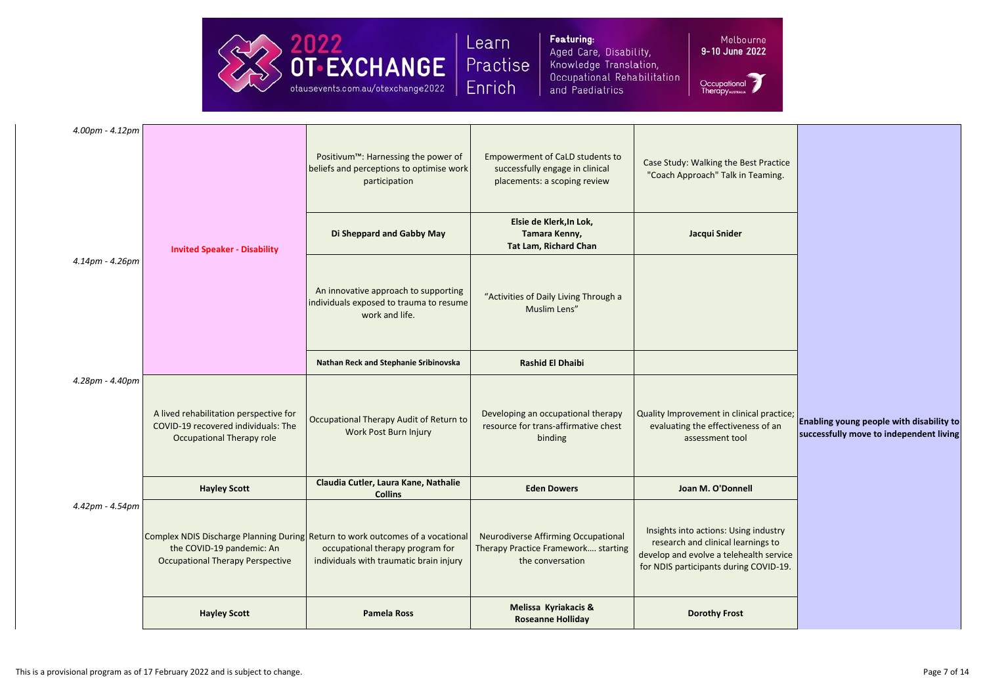

Featuring: Aged Care, Disability, Knowledge Translation, Occupational Rehabilitation and Paediatrics

Melbourne 9-10 June 2022

| 4.00pm - 4.12pm |                                                                                                                                                        |                                                                                                            | Positivum <sup>™</sup> : Harnessing the power of<br>beliefs and perceptions to optimise work<br>participation | <b>Empowerment of CaLD students to</b><br>successfully engage in clinical<br>placements: a scoping review                                                        | Case Study: Walking the Best Practice<br>"Coach Approach" Talk in Teaming.                         |
|-----------------|--------------------------------------------------------------------------------------------------------------------------------------------------------|------------------------------------------------------------------------------------------------------------|---------------------------------------------------------------------------------------------------------------|------------------------------------------------------------------------------------------------------------------------------------------------------------------|----------------------------------------------------------------------------------------------------|
|                 |                                                                                                                                                        | <b>Invited Speaker - Disability</b>                                                                        | Di Sheppard and Gabby May                                                                                     | Elsie de Klerk, In Lok,<br>Tamara Kenny,<br><b>Tat Lam, Richard Chan</b>                                                                                         | Jacqui Snider                                                                                      |
| 4.14pm - 4.26pm |                                                                                                                                                        | An innovative approach to supporting<br>individuals exposed to trauma to resume<br>work and life.          | "Activities of Daily Living Through a<br>Muslim Lens"                                                         |                                                                                                                                                                  |                                                                                                    |
|                 |                                                                                                                                                        |                                                                                                            | <b>Nathan Reck and Stephanie Sribinovska</b>                                                                  | <b>Rashid El Dhaibi</b>                                                                                                                                          |                                                                                                    |
|                 | 4.28pm - 4.40pm                                                                                                                                        | A lived rehabilitation perspective for<br>COVID-19 recovered individuals: The<br>Occupational Therapy role | Occupational Therapy Audit of Return to<br>Work Post Burn Injury                                              | Developing an occupational therapy<br>resource for trans-affirmative chest<br>binding                                                                            | Quality Improvement in clinical practice;<br>evaluating the effectiveness of an<br>assessment tool |
|                 |                                                                                                                                                        | <b>Hayley Scott</b>                                                                                        | Claudia Cutler, Laura Kane, Nathalie<br><b>Collins</b>                                                        | <b>Eden Dowers</b>                                                                                                                                               | Joan M. O'Donnell                                                                                  |
| 4.42pm - 4.54pm | Complex NDIS Discharge Planning During Return to work outcomes of a vocational<br>the COVID-19 pandemic: An<br><b>Occupational Therapy Perspective</b> | occupational therapy program for<br>individuals with traumatic brain injury                                | <b>Neurodiverse Affirming Occupational</b><br>Therapy Practice Framework starting<br>the conversation         | Insights into actions: Using industry<br>research and clinical learnings to<br>develop and evolve a telehealth service<br>for NDIS participants during COVID-19. |                                                                                                    |
|                 |                                                                                                                                                        | <b>Hayley Scott</b>                                                                                        | <b>Pamela Ross</b>                                                                                            | Melissa Kyriakacis &<br><b>Roseanne Holliday</b>                                                                                                                 | <b>Dorothy Frost</b>                                                                               |
|                 |                                                                                                                                                        |                                                                                                            |                                                                                                               |                                                                                                                                                                  |                                                                                                    |



| ical practice;<br>Enabling young people with disability to<br>successfully move to independent living |
|-------------------------------------------------------------------------------------------------------|
|                                                                                                       |
|                                                                                                       |
|                                                                                                       |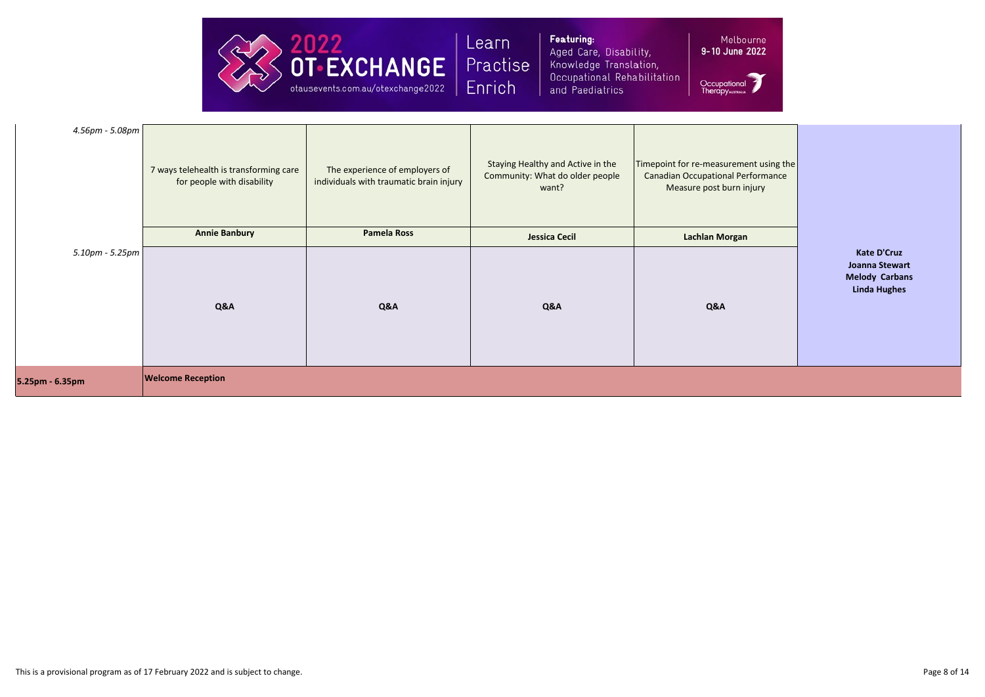

Featuring: Aged Care, Disability, Knowledge Translation, Occupational Rehabilitation and Paediatrics

| $4.56 \text{pm} - 5.08 \text{pm}$ | 7 ways telehealth is transforming care<br>for people with disability | The experience of employers of<br>individuals with traumatic brain injury | Staying Healthy and Active in the<br>Community: What do older people<br>want? | Timepoint for re-measureme<br><b>Canadian Occupational Pe</b><br>Measure post burn in |
|-----------------------------------|----------------------------------------------------------------------|---------------------------------------------------------------------------|-------------------------------------------------------------------------------|---------------------------------------------------------------------------------------|
|                                   | <b>Annie Banbury</b>                                                 | <b>Pamela Ross</b>                                                        | <b>Jessica Cecil</b>                                                          | <b>Lachlan Morgan</b>                                                                 |
| $5.10 \text{pm} - 5.25 \text{pm}$ | Q&A                                                                  | Q&A                                                                       | Q&A                                                                           | Q&A                                                                                   |
| 5.25pm - 6.35pm                   | <b>Welcome Reception</b>                                             |                                                                           |                                                                               |                                                                                       |

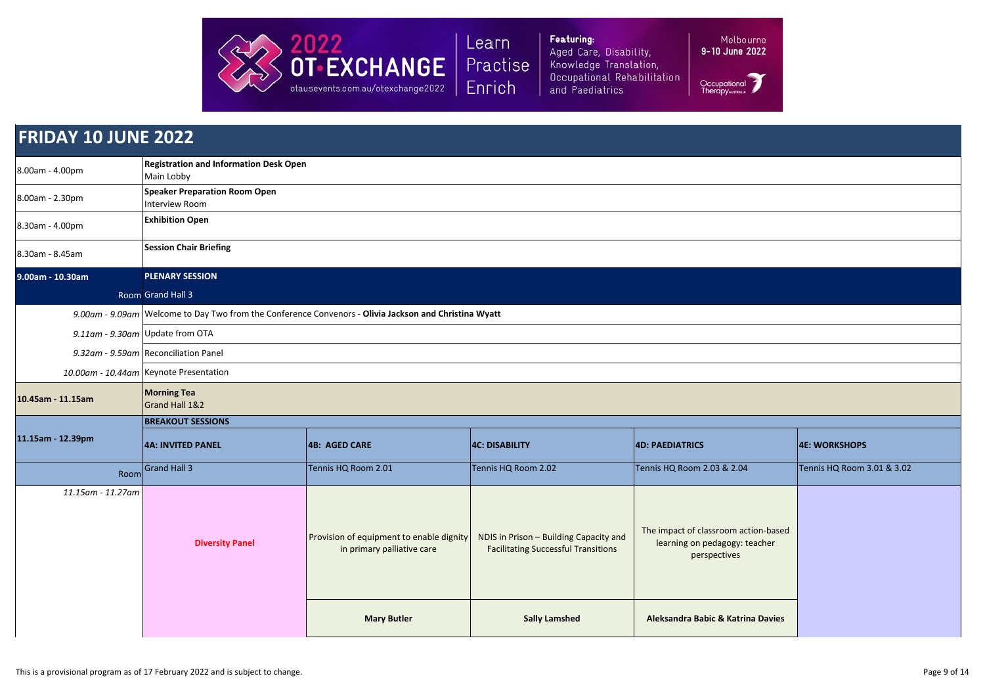

Featuring: Aged Care, Disability, Knowledge Translation, Occupational Rehabilitation and Paediatrics

Melbourne<br>**9-10 June 2022** 

| <b>FRIDAY 10 JUNE 2022</b> |                                                                                                       |                                                                        |                                                                                      |                                                                                       |                            |  |
|----------------------------|-------------------------------------------------------------------------------------------------------|------------------------------------------------------------------------|--------------------------------------------------------------------------------------|---------------------------------------------------------------------------------------|----------------------------|--|
| 8.00am - 4.00pm            | Main Lobby                                                                                            | <b>Registration and Information Desk Open</b>                          |                                                                                      |                                                                                       |                            |  |
| 8.00am - 2.30pm            | <b>Speaker Preparation Room Open</b><br>Interview Room                                                |                                                                        |                                                                                      |                                                                                       |                            |  |
| 8.30am - 4.00pm            | <b>Exhibition Open</b>                                                                                |                                                                        |                                                                                      |                                                                                       |                            |  |
| 8.30am - 8.45am            | <b>Session Chair Briefing</b>                                                                         |                                                                        |                                                                                      |                                                                                       |                            |  |
| 9.00am - 10.30am           | <b>PLENARY SESSION</b>                                                                                |                                                                        |                                                                                      |                                                                                       |                            |  |
|                            | Room Grand Hall 3                                                                                     |                                                                        |                                                                                      |                                                                                       |                            |  |
|                            | 9.00am - 9.09am Welcome to Day Two from the Conference Convenors - Olivia Jackson and Christina Wyatt |                                                                        |                                                                                      |                                                                                       |                            |  |
|                            | 9.11am - 9.30am Update from OTA                                                                       |                                                                        |                                                                                      |                                                                                       |                            |  |
|                            | 9.32am - 9.59am Reconciliation Panel                                                                  |                                                                        |                                                                                      |                                                                                       |                            |  |
|                            | 10.00am - 10.44am Keynote Presentation                                                                |                                                                        |                                                                                      |                                                                                       |                            |  |
| 10.45am - 11.15am          | <b>Morning Tea</b><br>Grand Hall 1&2                                                                  |                                                                        |                                                                                      |                                                                                       |                            |  |
|                            | <b>BREAKOUT SESSIONS</b>                                                                              |                                                                        |                                                                                      |                                                                                       |                            |  |
| 11.15am - 12.39pm          | <b>4A: INVITED PANEL</b>                                                                              | 4B: AGED CARE                                                          | <b>4C: DISABILITY</b>                                                                | <b>4D: PAEDIATRICS</b>                                                                | <b>4E: WORKSHOPS</b>       |  |
| Room                       | Grand Hall 3                                                                                          | Tennis HQ Room 2.01                                                    | Tennis HQ Room 2.02                                                                  | Tennis HQ Room 2.03 & 2.04                                                            | Tennis HQ Room 3.01 & 3.02 |  |
| 11.15am - 11.27am          | <b>Diversity Panel</b>                                                                                | Provision of equipment to enable dignity<br>in primary palliative care | NDIS in Prison - Building Capacity and<br><b>Facilitating Successful Transitions</b> | The impact of classroom action-based<br>learning on pedagogy: teacher<br>perspectives |                            |  |
|                            |                                                                                                       | <b>Mary Butler</b>                                                     | <b>Sally Lamshed</b>                                                                 | <b>Aleksandra Babic &amp; Katrina Davies</b>                                          |                            |  |



| <b>4E: WORKSHOPS</b> |  |
|----------------------|--|

|                        | <b>4E: WORKSHOPS</b>       |
|------------------------|----------------------------|
| 4                      | Tennis HQ Room 3.01 & 3.02 |
| ction-based<br>teacher |                            |
| ina Davies             |                            |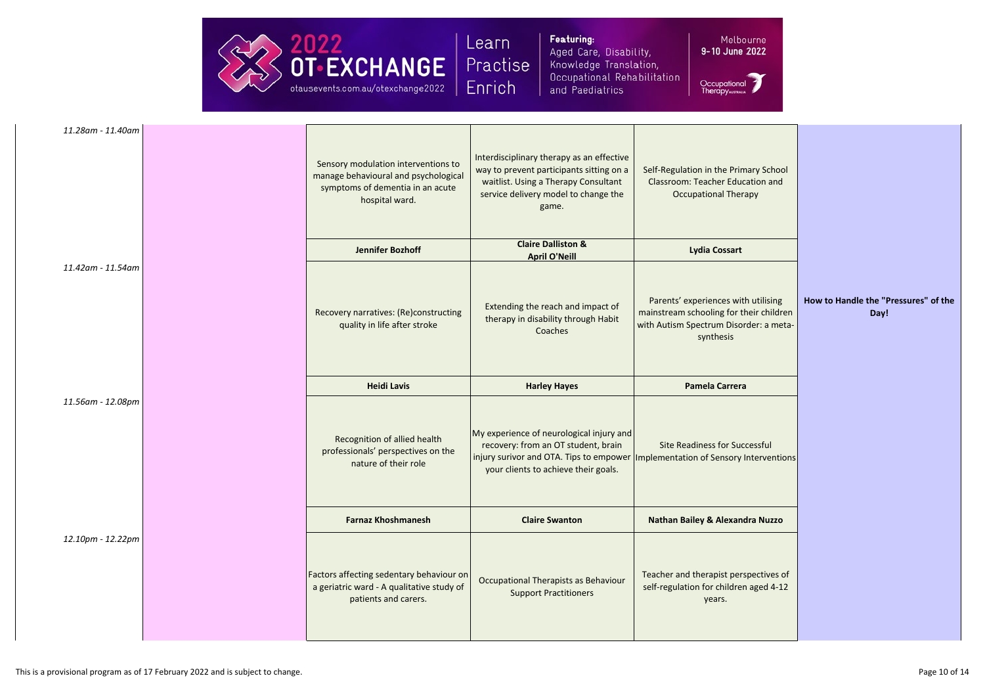

Featuring: Aged Care, Disability, Knowledge Translation, Occupational Rehabilitation and Paediatrics

|         | Mel |
|---------|-----|
| -10 Jul |     |

| 11.28am - 11.40am | Sensory modulation interventions to<br>manage behavioural and psychological<br>symptoms of dementia in an acute<br>hospital ward. | Interdisciplinary therapy as an effective<br>way to prevent participants sitting on a<br>waitlist. Using a Therapy Consultant<br>service delivery model to change the<br>game.                               | Self-Regulation in the Primary School<br><b>Classroom: Teacher Education and</b><br><b>Occupational Therapy</b>                       |
|-------------------|-----------------------------------------------------------------------------------------------------------------------------------|--------------------------------------------------------------------------------------------------------------------------------------------------------------------------------------------------------------|---------------------------------------------------------------------------------------------------------------------------------------|
|                   | Jennifer Bozhoff                                                                                                                  | <b>Claire Dalliston &amp;</b><br><b>April O'Neill</b>                                                                                                                                                        | <b>Lydia Cossart</b>                                                                                                                  |
| 11.42am - 11.54am | Recovery narratives: (Re)constructing<br>quality in life after stroke                                                             | Extending the reach and impact of<br>therapy in disability through Habit<br>Coaches                                                                                                                          | Parents' experiences with utilising<br>mainstream schooling for their children<br>with Autism Spectrum Disorder: a meta-<br>synthesis |
|                   | <b>Heidi Lavis</b>                                                                                                                | <b>Harley Hayes</b>                                                                                                                                                                                          | <b>Pamela Carrera</b>                                                                                                                 |
| 11.56am - 12.08pm | Recognition of allied health<br>professionals' perspectives on the<br>nature of their role                                        | My experience of neurological injury and<br>recovery: from an OT student, brain<br>injury surivor and OTA. Tips to empower   Implementation of Sensory Interventions<br>your clients to achieve their goals. | <b>Site Readiness for Successful</b>                                                                                                  |
|                   | <b>Farnaz Khoshmanesh</b>                                                                                                         | <b>Claire Swanton</b>                                                                                                                                                                                        | <b>Nathan Bailey &amp; Alexandra Nuzzo</b>                                                                                            |
| 12.10pm - 12.22pm | Factors affecting sedentary behaviour on<br>a geriatric ward - A qualitative study of<br>patients and carers.                     | Occupational Therapists as Behaviour<br><b>Support Practitioners</b>                                                                                                                                         | Teacher and therapist perspectives of<br>self-regulation for children aged 4-12<br>years.                                             |



| How to Handle the "Pressures" of the |
|--------------------------------------|
| Day!                                 |
|                                      |
| Interventions                        |
|                                      |
|                                      |
|                                      |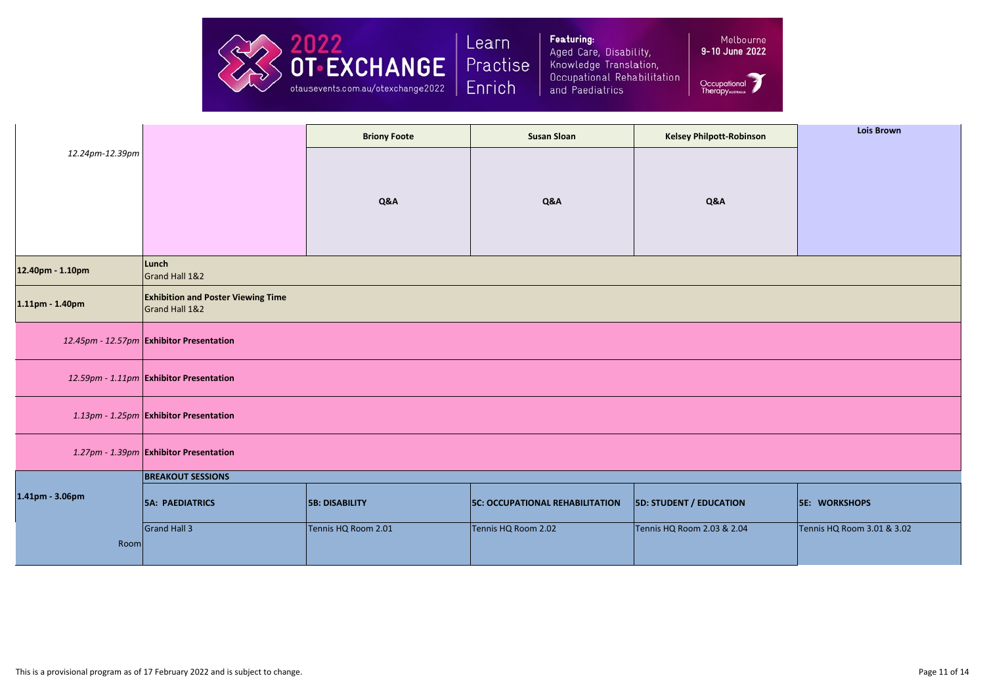

Featuring: Aged Care, Disability, Knowledge Translation, Occupational Rehabilitation and Paediatrics

9-10 June 2022

|                       |                                                             | <b>Briony Foote</b>   | <b>Susan Sloan</b>                     | <b>Kelsey Philpott-Robinson</b> | <b>Lois Brown</b>          |  |
|-----------------------|-------------------------------------------------------------|-----------------------|----------------------------------------|---------------------------------|----------------------------|--|
| 12.24pm-12.39pm       |                                                             |                       |                                        |                                 |                            |  |
|                       |                                                             |                       |                                        |                                 |                            |  |
|                       |                                                             | Q&A                   | Q&A                                    | Q&A                             |                            |  |
|                       |                                                             |                       |                                        |                                 |                            |  |
| 12.40pm - 1.10pm      | Lunch<br>Grand Hall 1&2                                     |                       |                                        |                                 |                            |  |
| $1.11$ pm - $1.40$ pm | <b>Exhibition and Poster Viewing Time</b><br>Grand Hall 1&2 |                       |                                        |                                 |                            |  |
|                       | 12.45pm - 12.57pm Exhibitor Presentation                    |                       |                                        |                                 |                            |  |
|                       | 12.59pm - 1.11pm Exhibitor Presentation                     |                       |                                        |                                 |                            |  |
|                       | 1.13pm - 1.25pm Exhibitor Presentation                      |                       |                                        |                                 |                            |  |
|                       | 1.27pm - 1.39pm Exhibitor Presentation                      |                       |                                        |                                 |                            |  |
|                       | <b>BREAKOUT SESSIONS</b>                                    |                       |                                        |                                 |                            |  |
| 1.41pm - 3.06pm       | <b>5A: PAEDIATRICS</b>                                      | <b>5B: DISABILITY</b> | <b>5C: OCCUPATIONAL REHABILITATION</b> | <b>5D: STUDENT / EDUCATION</b>  | <b>5E: WORKSHOPS</b>       |  |
| Room                  | Grand Hall 3                                                | Tennis HQ Room 2.01   | Tennis HQ Room 2.02                    | Tennis HQ Room 2.03 & 2.04      | Tennis HQ Room 3.01 & 3.02 |  |
|                       |                                                             |                       |                                        |                                 |                            |  |

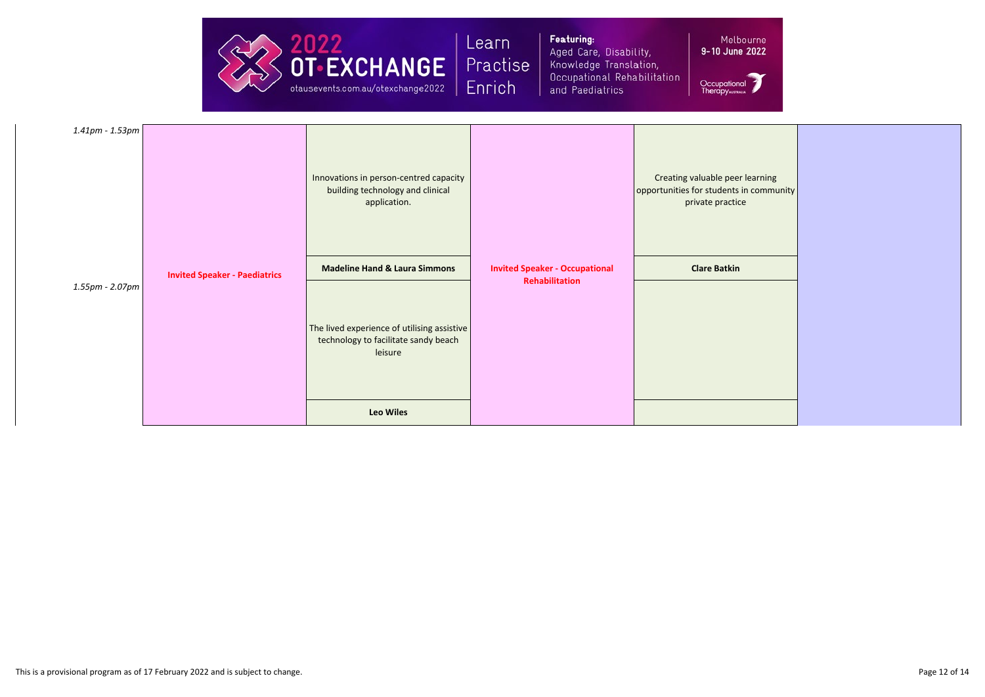

Featuring: Aged Care, Disability, Knowledge Translation, Occupational Rehabilitation and Paediatrics

Melbourne 9-10 June 2022

| $1.41$ pm - $1.53$ pm |                                      | Innovations in person-centred capacity<br>building technology and clinical<br>application.     |                                                                | Creating valuable peer learning<br>opportunities for students in community<br>private practice |
|-----------------------|--------------------------------------|------------------------------------------------------------------------------------------------|----------------------------------------------------------------|------------------------------------------------------------------------------------------------|
|                       | <b>Invited Speaker - Paediatrics</b> | <b>Madeline Hand &amp; Laura Simmons</b>                                                       | <b>Invited Speaker - Occupational</b><br><b>Rehabilitation</b> | <b>Clare Batkin</b>                                                                            |
| 1.55pm - 2.07pm       |                                      | The lived experience of utilising assistive<br>technology to facilitate sandy beach<br>leisure |                                                                |                                                                                                |
|                       |                                      | <b>Leo Wiles</b>                                                                               |                                                                |                                                                                                |



| learning<br>n community<br>$\geq$ |  |
|-----------------------------------|--|
|                                   |  |
|                                   |  |
|                                   |  |
|                                   |  |
|                                   |  |
|                                   |  |
|                                   |  |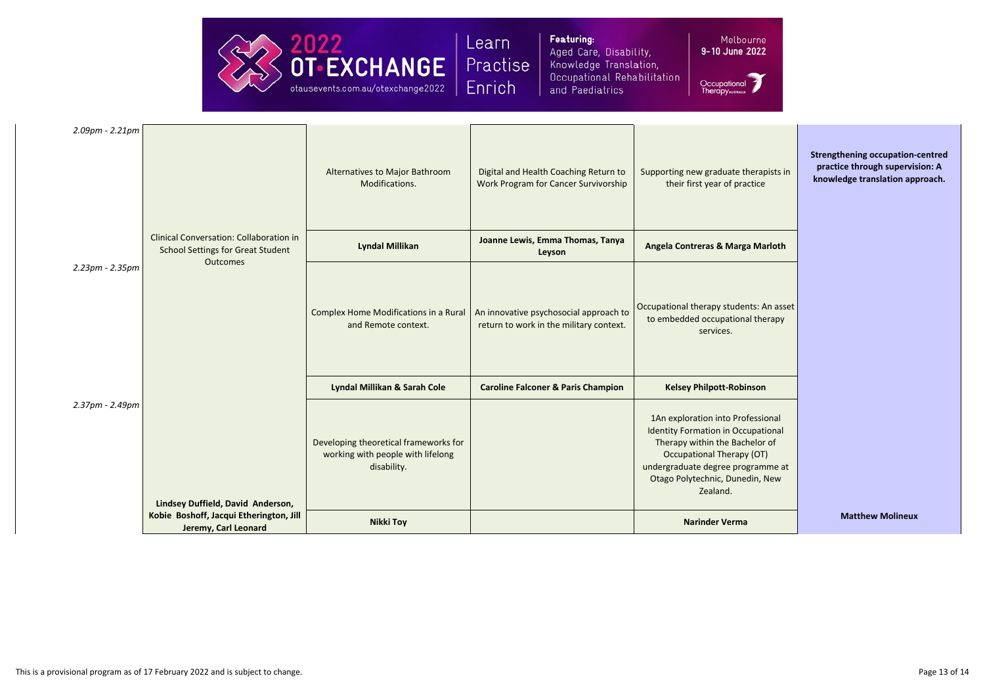

Featuring: Aged Care, Disability, Knowledge Translation, Occupational Rehabilitation and Paediatrics

Melbourne 9-10 June 2022

| $2.09$ pm - $2.21$ pm |                                                                                            | Alternatives to Major Bathroom<br>Modifications.                                          | Digital and Health Coaching Return to<br><b>Work Program for Cancer Survivorship</b> | Supporting new graduate therapists in<br>their first year of practice                                                                                                                                                                    | <b>Strengthening occupation-centred</b><br>practice through supervision: A<br>knowledge translation approach. |
|-----------------------|--------------------------------------------------------------------------------------------|-------------------------------------------------------------------------------------------|--------------------------------------------------------------------------------------|------------------------------------------------------------------------------------------------------------------------------------------------------------------------------------------------------------------------------------------|---------------------------------------------------------------------------------------------------------------|
|                       | <b>Clinical Conversation: Collaboration in</b><br><b>School Settings for Great Student</b> | <b>Lyndal Millikan</b>                                                                    | Joanne Lewis, Emma Thomas, Tanya<br>Leyson                                           | <b>Angela Contreras &amp; Marga Marloth</b>                                                                                                                                                                                              |                                                                                                               |
| 2.23pm - 2.35pm       | <b>Outcomes</b>                                                                            | Complex Home Modifications in a Rural<br>and Remote context.                              | An innovative psychosocial approach to<br>return to work in the military context.    | Occupational therapy students: An asset<br>to embedded occupational therapy<br>services.                                                                                                                                                 |                                                                                                               |
|                       |                                                                                            | Lyndal Millikan & Sarah Cole                                                              | <b>Caroline Falconer &amp; Paris Champion</b>                                        | <b>Kelsey Philpott-Robinson</b>                                                                                                                                                                                                          |                                                                                                               |
| 2.37pm - 2.49pm       | Lindsey Duffield, David Anderson,                                                          | Developing theoretical frameworks for<br>working with people with lifelong<br>disability. |                                                                                      | 1An exploration into Professional<br><b>Identity Formation in Occupational</b><br>Therapy within the Bachelor of<br><b>Occupational Therapy (OT)</b><br>undergraduate degree programme at<br>Otago Polytechnic, Dunedin, New<br>Zealand. |                                                                                                               |
|                       | Kobie Boshoff, Jacqui Etherington, Jill<br>Jeremy, Carl Leonard                            | <b>Nikki Toy</b>                                                                          |                                                                                      | <b>Narinder Verma</b>                                                                                                                                                                                                                    | <b>Matthew Molineux</b>                                                                                       |